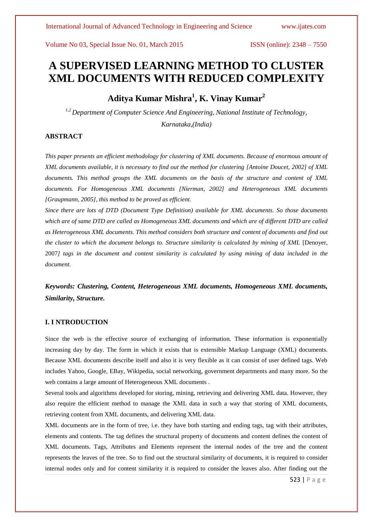# **A SUPERVISED LEARNING METHOD TO CLUSTER XML DOCUMENTS WITH REDUCED COMPLEXITY**

**Aditya Kumar Mishra<sup>1</sup> , K. Vinay Kumar<sup>2</sup>**

*1,2 Department of Computer Science And Engineering, National Institute of Technology, Karnataka,(India)*

# **ABSTRACT**

*This paper presents an efficient methodology for clustering of XML documents. Because of enormous amount of XML documents available, it is necessary to find out the method for clustering [Antoine Doucet, 2002] of XML documents. This method groups the XML documents on the basis of the structure and content of XML documents. For Homogeneous XML documents [Nierman, 2002] and Heterogeneous XML documents [Graupmann, 2005], this method to be proved as efficient.*

*Since there are lots of DTD (Document Type Definition) available for XML documents. So those documents which are of same DTD are called as Homogeneous XML documents and which are of different DTD are called as Heterogeneous XML documents. This method considers both structure and content of documents and find out the cluster to which the document belongs to. Structure similarity is calculated by mining of XML* [Denoyer, 2007*] tags in the document and content similarity is calculated by using mining of data included in the document.*

*Keywords: Clustering, Content, Heterogeneous XML documents, Homogeneous XML documents, Similarity, Structure.* 

# **I. I NTRODUCTION**

Since the web is the effective source of exchanging of information. These information is exponentially increasing day by day. The form in which it exists that is extensible Markup Language (XML) documents. Because XML documents describe itself and also it is very flexible as it can consist of user defined tags. Web includes Yahoo, Google, EBay, Wikipedia, social networking, government departments and many more. So the web contains a large amount of Heterogeneous XML documents .

Several tools and algorithms developed for storing, mining, retrieving and delivering XML data. However, they also require the efficient method to manage the XML data in such a way that storing of XML documents, retrieving content from XML documents, and delivering XML data.

XML documents are in the form of tree, i.e. they have both starting and ending tags, tag with their attributes, elements and contents. The tag defines the structural property of documents and content defines the content of XML documents. Tags, Attributes and Elements represent the internal nodes of the tree and the content represents the leaves of the tree. So to find out the structural similarity of documents, it is required to consider internal nodes only and for content similarity it is required to consider the leaves also. After finding out the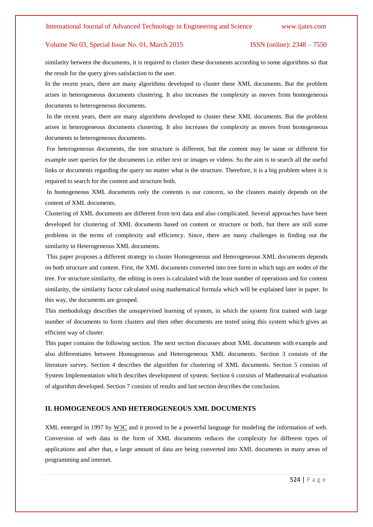similarity between the documents, it is required to cluster these documents according to some algorithms so that the result for the query gives satisfaction to the user.

In the recent years, there are many algorithms developed to cluster these XML documents. But the problem arises in heterogeneous documents clustering. It also increases the complexity as moves from homogeneous documents to heterogeneous documents.

In the recent years, there are many algorithms developed to cluster these XML documents. But the problem arises in heterogeneous documents clustering. It also increases the complexity as moves from homogeneous documents to heterogeneous documents.

For heterogeneous documents, the tree structure is different, but the content may be same or different for example user queries for the documents i.e. either text or images or videos. So the aim is to search all the useful links or documents regarding the query no matter what is the structure. Therefore, it is a big problem where it is required to search for the content and structure both.

In homogeneous XML documents only the contents is our concern, so the clusters mainly depends on the content of XML documents.

Clustering of XML documents are different from text data and also complicated. Several approaches have been developed for clustering of XML documents based on content or structure or both, but there are still some problems in the terms of complexity and efficiency. Since, there are many challenges in finding out the similarity in Heterogeneous XML documents.

This paper proposes a different strategy to cluster Homogeneous and Heterogeneous XML documents depends on both structure and content. First, the XML documents converted into tree form in which tags are nodes of the tree. For structure similarity, the editing in trees is calculated with the least number of operations and for content similarity, the similarity factor calculated using mathematical formula which will be explained later in paper. In this way, the documents are grouped.

This methodology describes the unsupervised learning of system, in which the system first trained with large number of documents to form clusters and then other documents are tested using this system which gives an efficient way of cluster.

This paper contains the following section. The next section discusses about XML documents with example and also differentiates between Homogeneous and Heterogeneous XML documents. Section 3 consists of the literature survey. Section 4 describes the algorithm for clustering of XML documents. Section 5 consists of System Implementation which describes development of system. Section 6 consists of Mathematical evaluation of algorithm developed. Section 7 consists of results and last section describes the conclusion.

# **II. HOMOGENEOUS AND HETEROGENEOUS XML DOCUMENTS**

XML emerged in 1997 by W3C and it proved to be a powerful language for modeling the information of web. Conversion of web data in the form of XML documents reduces the complexity for different types of applications and after that, a large amount of data are being converted into XML documents in many areas of programming and internet.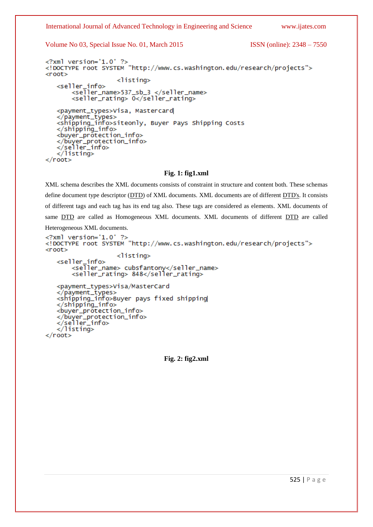International Journal of Advanced Technology in Engineering and Science [www.ijates.com](http://www.ijates.com/)

Volume No 03, Special Issue No. 01, March 2015 ISSN (online): 2348 – 7550

```
\leq?xml version='1.0' ?>
<! DOCTYPE root SYSTEM "http://www.cs.washington.edu/research/projects">
<root><listing>
   <seller_info>
        <seller_name>537_sb_3 </seller_name>
        <seller_rating> 0</seller_rating>
   <payment_types>Visa, Mastercard
   </payment_types><br><shipping_info>siteonly, Buyer Pays Shipping Costs
   </shipping_info>
   <buyer_protection_info>
   </buyer_protection_info>
   </seller_info>
   \frac{1}{2}listing>
\langleroot\rangle
```
### **Fig. 1: fig1.xml**

XML schema describes the XML documents consists of constraint in structure and content both. These schemas define document type descriptor (DTD) of XML documents. XML documents are of different DTD's. It consists of different tags and each tag has its end tag also. These tags are considered as elements. XML documents of same **DTD** are called as Homogeneous XML documents. XML documents of different **DTD** are called

Heterogeneous XML documents.

```
\langle 2 \times 7 \times 7 \times 7 \rangle version='1.0' ?<! DOCTYPE root SYSTEM "http://www.cs.washington.edu/research/projects">
<root><listing><seller_info>
        <seller_name> cubsfantony</seller_name>
        <seller_rating> 848</seller_rating>
   <payment_types>Visa/MasterCard
   </payment_types>
   <shipping_info>Buyer pays fixed shipping
   </shipping_info>
   <buyer_protection_info>
   </buyer_protection_info>
   </seller_info>
   \frac{1}{2}listing>
\langleroot\rangle
```
**Fig. 2: fig2.xml**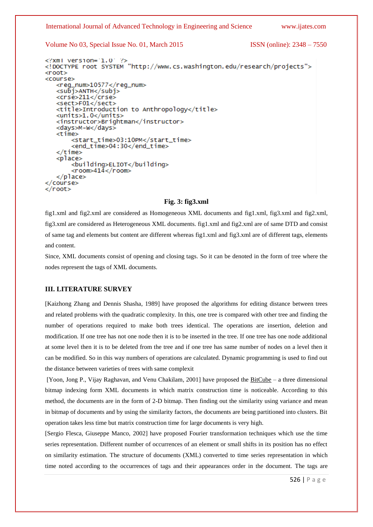International Journal of Advanced Technology in Engineering and Science [www.ijates.com](http://www.ijates.com/)

Volume No 03, Special Issue No. 01, March 2015 ISSN (online): 2348 – 7550

```
<?xml version='1.0' ?>
<! DOCTYPE root SYSTEM "http://www.cs.washington.edu/research/projects">
<root><course>
   <reg_num>10577</reg_num>
   <subj>ANTH</subj>
   <crse>211</crse>
   <sect>F01</sect>
   <title>Introduction to Anthropology</title>
   <units>1.0</units>
   <instructor>Brightman</instructor>
   <days>M-W</days>
   <time>
       <start_time>03:10PM</start_time>
       <end_time>04:30</end_time>
   </time>
   <place>
       <building>ELIOT</building>
       <room>414</room>
   </place>
\langle/course>
≺/root>
```
# **Fig. 3: fig3.xml**

fig1.xml and fig2.xml are considered as Homogeneous XML documents and fig1.xml, fig3.xml and fig2.xml, fig3.xml are considered as Heterogeneous XML documents. fig1.xml and fig2.xml are of same DTD and consist of same tag and elements but content are different whereas fig1.xml and fig3.xml are of different tags, elements and content.

Since, XML documents consist of opening and closing tags. So it can be denoted in the form of tree where the nodes represent the tags of XML documents.

#### **III. LITERATURE SURVEY**

[Kaizhong Zhang and Dennis Shasha, 1989] have proposed the algorithms for editing distance between trees and related problems with the quadratic complexity. In this, one tree is compared with other tree and finding the number of operations required to make both trees identical. The operations are insertion, deletion and modification. If one tree has not one node then it is to be inserted in the tree. If one tree has one node additional at some level then it is to be deleted from the tree and if one tree has same number of nodes on a level then it can be modified. So in this way numbers of operations are calculated. Dynamic programming is used to find out the distance between varieties of trees with same complexit

[Yoon, Jong P., Vijay Raghavan, and Venu Chakilam, 2001] have proposed the BitCube – a three dimensional bitmap indexing form XML documents in which matrix construction time is noticeable. According to this method, the documents are in the form of 2-D bitmap. Then finding out the similarity using variance and mean in bitmap of documents and by using the similarity factors, the documents are being partitioned into clusters. Bit operation takes less time but matrix construction time for large documents is very high.

[Sergio Flesca, Giuseppe Manco, 2002] have proposed Fourier transformation techniques which use the time series representation. Different number of occurrences of an element or small shifts in its position has no effect on similarity estimation. The structure of documents (XML) converted to time series representation in which time noted according to the occurrences of tags and their appearances order in the document. The tags are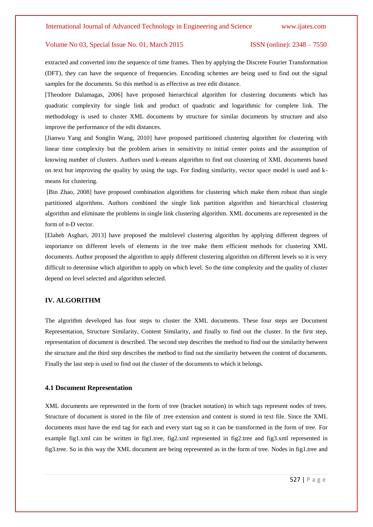extracted and converted into the sequence of time frames. Then by applying the Discrete Fourier Transformation (DFT), they can have the sequence of frequencies. Encoding schemes are being used to find out the signal samples for the documents. So this method is as effective as tree edit distance.

[Theodore Dalamagas, 2006] have proposed hierarchical algorithm for clustering documents which has quadratic complexity for single link and product of quadratic and logarithmic for complete link. The methodology is used to cluster XML documents by structure for similar documents by structure and also improve the performance of the edit distances.

[Jianwu Yang and Songlin Wang, 2010] have proposed partitioned clustering algorithm for clustering with linear time complexity but the problem arises in sensitivity to initial center points and the assumption of knowing number of clusters. Authors used k-means algorithm to find out clustering of XML documents based on text but improving the quality by using the tags. For finding similarity, vector space model is used and kmeans for clustering.

[Bin Zhao, 2008] have proposed combination algorithms for clustering which make them robust than single partitioned algorithms. Authors combined the single link partition algorithm and hierarchical clustering algorithm and eliminate the problems in single link clustering algorithm. XML documents are represented in the form of n-D vector.

[Elaheh Asghari, 2013] have proposed the multilevel clustering algorithm by applying different degrees of importance on different levels of elements in the tree make them efficient methods for clustering XML documents. Author proposed the algorithm to apply different clustering algorithm on different levels so it is very difficult to determine which algorithm to apply on which level. So the time complexity and the quality of cluster depend on level selected and algorithm selected.

### **IV. ALGORITHM**

The algorithm developed has four steps to cluster the XML documents. These four steps are Document Representation, Structure Similarity, Content Similarity, and finally to find out the cluster. In the first step, representation of document is described. The second step describes the method to find out the similarity between the structure and the third step describes the method to find out the similarity between the content of documents. Finally the last step is used to find out the cluster of the documents to which it belongs.

#### **4.1 Document Representation**

XML documents are represented in the form of tree (bracket notation) in which tags represent nodes of trees. Structure of document is stored in the file of .tree extension and content is stored in text file. Since the XML documents must have the end tag for each and every start tag so it can be transformed in the form of tree. For example fig1.xml can be written in fig1.tree, fig2.xml represented in fig2.tree and fig3.xml represented in fig3.tree. So in this way the XML document are being represented as in the form of tree. Nodes in fig1.tree and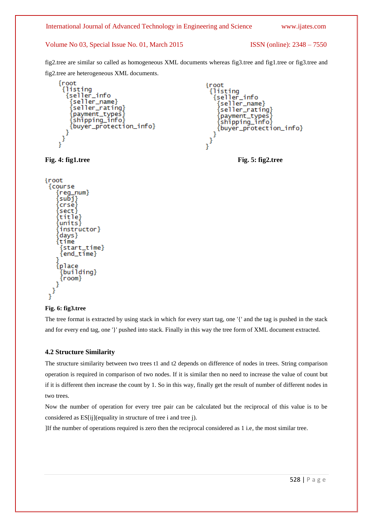# International Journal of Advanced Technology in Engineering and Science [www.ijates.com](http://www.ijates.com/)

## Volume No 03, Special Issue No. 01, March 2015 ISSN (online): 2348 – 7550

fig2.tree are similar so called as homogeneous XML documents whereas fig3.tree and fig1.tree or fig3.tree and fig2.tree are heterogeneous XML documents.

```
{root
   {listing
     {seller_info
         |<br>|seller_name}<br>|seller_rating}
        {payment_types}<br>{payment_types}
        {buyer_protection_info}
\begin{smallmatrix}&1\\1&&1\\&1\end{smallmatrix}
```

```
\{root{listing
    {seller_info
       [seller_name}
       [seller_rating}
      {payment_types}<br>{shipping_info}
      {buyer_protection_info}
\begin{smallmatrix}&1\\&3\\1\end{smallmatrix}
```
**Fig. 4: fig1.tree Fig. 5: fig2.tree**

```
{root
 {course
    reg_num}
    [subj]
    crse}
    sect i
     title}
    units}
     instructor}
    [days]
    time
     start_time}
     {end_time}
    {place
     {buildina}
     {room}
   3
\big\}^{Y}
```
# **Fig. 6: fig3.tree**

The tree format is extracted by using stack in which for every start tag, one '{' and the tag is pushed in the stack and for every end tag, one '}' pushed into stack. Finally in this way the tree form of XML document extracted.

# **4.2 Structure Similarity**

The structure similarity between two trees t1 and t2 depends on difference of nodes in trees. String comparison operation is required in comparison of two nodes. If it is similar then no need to increase the value of count but if it is different then increase the count by 1. So in this way, finally get the result of number of different nodes in two trees.

Now the number of operation for every tree pair can be calculated but the reciprocal of this value is to be considered as ES[ij](equality in structure of tree i and tree j).

]If the number of operations required is zero then the reciprocal considered as 1 i.e, the most similar tree.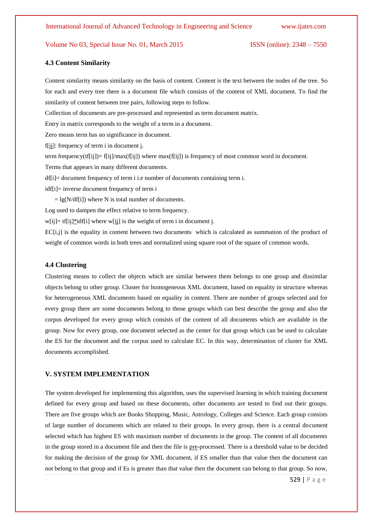#### **4.3 Content Similarity**

Content similarity means similarity on the basis of content. Content is the text between the nodes of the tree. So for each and every tree there is a document file which consists of the content of XML document. To find the similarity of content between tree pairs, following steps to follow. Collection of documents are pre-processed and represented as term document matrix. Entry in matrix corresponds to the weight of a term in a document.

Zero means term has no significance in document.

f[ij]: frequency of term i in document j.

term frequency(tf[ij])= f[ij]/max(f[ij]) where  $max(f[i])$  is frequency of most common word in document.

Terms that appears in many different documents.

df[i]= document frequency of term i i.e number of documents containing term i.

idf[i]= inverse document frequency of term i

 $=$  lg(N/df[i]) where N is total number of documents.

Log used to dampen the effect relative to term frequency.

 $w[i]$  = tf[ij]\*idf[i] where  $w[i]$  is the weight of term i in document j.

EC[i,j] is the equality in content between two documents which is calculated as summation of the product of weight of common words in both trees and normalized using square root of the square of common words.

### **4.4 Clustering**

Clustering means to collect the objects which are similar between them belongs to one group and dissimilar objects belong to other group. Cluster for homogeneous XML document, based on equality in structure whereas for heterogeneous XML documents based on equality in content. There are number of groups selected and for every group there are some documents belong to those groups which can best describe the group and also the corpus developed for every group which consists of the content of all documents which are available in the group. Now for every group, one document selected as the center for that group which can be used to calculate the ES for the document and the corpus used to calculate EC. In this way, determination of cluster for XML documents accomplished.

### **V. SYSTEM IMPLEMENTATION**

The system developed for implementing this algorithm, uses the supervised learning in which training document defined for every group and based on these documents, other documents are tested to find out their groups. There are five groups which are Books Shopping, Music, Astrology, Colleges and Science. Each group consists of large number of documents which are related to their groups. In every group, there is a central document selected which has highest ES with maximum number of documents in the group. The content of all documents in the group stored in a document file and then the file is pre-processed. There is a threshold value to be decided for making the decision of the group for XML document, if ES smaller than that value then the document can not belong to that group and if Es is greater than that value then the document can belong to that group. So now,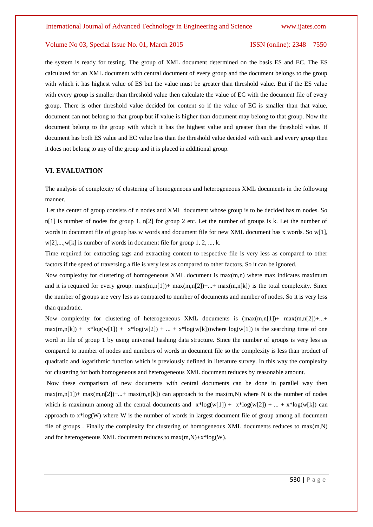the system is ready for testing. The group of XML document determined on the basis ES and EC. The ES calculated for an XML document with central document of every group and the document belongs to the group with which it has highest value of ES but the value must be greater than threshold value. But if the ES value with every group is smaller than threshold value then calculate the value of EC with the document file of every group. There is other threshold value decided for content so if the value of EC is smaller than that value, document can not belong to that group but if value is higher than document may belong to that group. Now the document belong to the group with which it has the highest value and greater than the threshold value. If document has both ES value and EC value less than the threshold value decided with each and every group then it does not belong to any of the group and it is placed in additional group.

### **VI. EVALUATION**

The analysis of complexity of clustering of homogeneous and heterogeneous XML documents in the following manner.

Let the center of group consists of n nodes and XML document whose group is to be decided has m nodes. So n[1] is number of nodes for group 1, n[2] for group 2 etc. Let the number of groups is k. Let the number of words in document file of group has w words and document file for new XML document has x words. So w[1], w[2],...,w[k] is number of words in document file for group 1, 2, ..., k.

Time required for extracting tags and extracting content to respective file is very less as compared to other factors if the speed of traversing a file is very less as compared to other factors. So it can be ignored.

Now complexity for clustering of homogeneous XML document is  $max(m,n)$  where max indicates maximum and it is required for every group.  $max(m,n[1]) + max(m,n[2]) + ... + max(m,n[k])$  is the total complexity. Since the number of groups are very less as compared to number of documents and number of nodes. So it is very less than quadratic.

Now complexity for clustering of heterogeneous XML documents is  $(\max(m,n[1]) + \max(m,n[2]) + ... +$  $max(m,n[k]) + x^{*}log(w[1]) + x^{*}log(w[2]) + ... + x^{*}log(w[k]))$  where  $log(w[1])$  is the searching time of one word in file of group 1 by using universal hashing data structure. Since the number of groups is very less as compared to number of nodes and numbers of words in document file so the complexity is less than product of quadratic and logarithmic function which is previously defined in literature survey. In this way the complexity for clustering for both homogeneous and heterogeneous XML document reduces by reasonable amount.

Now these comparison of new documents with central documents can be done in parallel way then  $max(m,n[1])$ + max $(m,n[2])$ +...+ max $(m,n[k])$  can approach to the max $(m,N)$  where N is the number of nodes which is maximum among all the central documents and  $x * log(w[1]) + x * log(w[2]) + ... + x * log(w[k])$  can approach to x\*log(W) where W is the number of words in largest document file of group among all document file of groups . Finally the complexity for clustering of homogeneous XML documents reduces to max(m,N) and for heterogeneous XML document reduces to  $max(m,N) + x * log(W)$ .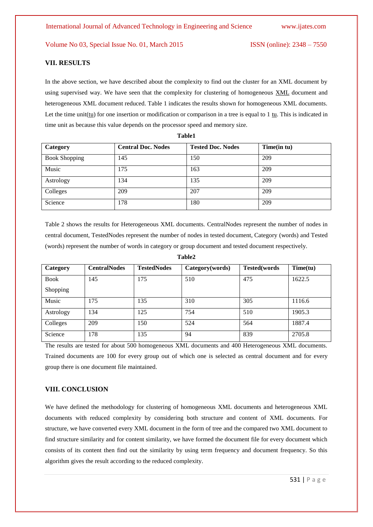#### **VII. RESULTS**

In the above section, we have described about the complexity to find out the cluster for an XML document by using supervised way. We have seen that the complexity for clustering of homogeneous XML document and heterogeneous XML document reduced. Table 1 indicates the results shown for homogeneous XML documents. Let the time unit(tu) for one insertion or modification or comparison in a tree is equal to 1 tu. This is indicated in time unit as because this value depends on the processor speed and memory size.

| Category             | <b>Central Doc. Nodes</b> | <b>Tested Doc. Nodes</b> | Time(in tu) |
|----------------------|---------------------------|--------------------------|-------------|
| <b>Book Shopping</b> | 145                       | 150                      | 209         |
| Music                | 175                       | 163                      | 209         |
| Astrology            | 134                       | 135                      | 209         |
| Colleges             | 209                       | 207                      | 209         |
| Science              | 178                       | 180                      | 209         |

**Table1**

Table 2 shows the results for Heterogeneous XML documents. CentralNodes represent the number of nodes in central document, TestedNodes represent the number of nodes in tested document, Category (words) and Tested (words) represent the number of words in category or group document and tested document respectively.

| Category    | <b>CentralNodes</b> | <b>TestedNodes</b> | Category(words) | Tested(words | Time(tu) |
|-------------|---------------------|--------------------|-----------------|--------------|----------|
| <b>Book</b> | 145                 | 175                | 510             | 475          | 1622.5   |
| Shopping    |                     |                    |                 |              |          |
| Music       | 175                 | 135                | 310             | 305          | 1116.6   |
| Astrology   | 134                 | 125                | 754             | 510          | 1905.3   |
| Colleges    | 209                 | 150                | 524             | 564          | 1887.4   |
| Science     | 178                 | 135                | 94              | 839          | 2705.8   |

# **Table2**

The results are tested for about 500 homogeneous XML documents and 400 Heterogeneous XML documents. Trained documents are 100 for every group out of which one is selected as central document and for every group there is one document file maintained.

# **VIII. CONCLUSION**

We have defined the methodology for clustering of homogeneous XML documents and heterogeneous XML documents with reduced complexity by considering both structure and content of XML documents. For structure, we have converted every XML document in the form of tree and the compared two XML document to find structure similarity and for content similarity, we have formed the document file for every document which consists of its content then find out the similarity by using term frequency and document frequency. So this algorithm gives the result according to the reduced complexity.